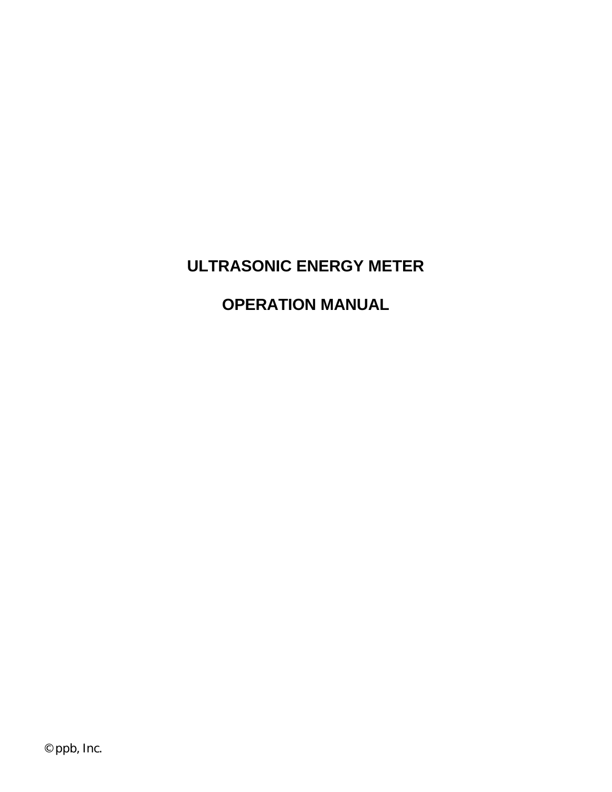# **ULTRASONIC ENERGY METER**

# **OPERATION MANUAL**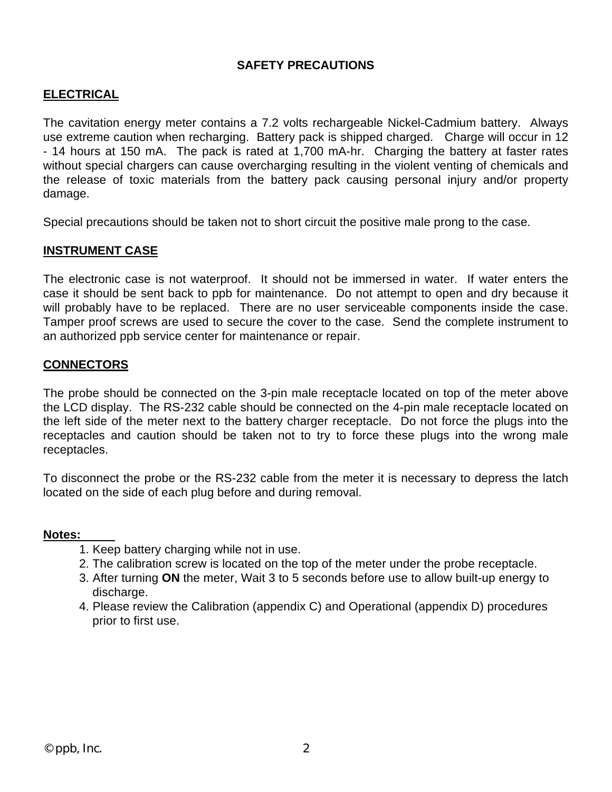#### **SAFETY PRECAUTIONS**

#### **ELECTRICAL**

The cavitation energy meter contains a 7.2 volts rechargeable Nickel-Cadmium battery. Always use extreme caution when recharging. Battery pack is shipped charged. Charge will occur in 12 - 14 hours at 150 mA. The pack is rated at 1,700 mA-hr. Charging the battery at faster rates without special chargers can cause overcharging resulting in the violent venting of chemicals and the release of toxic materials from the battery pack causing personal injury and/or property damage.

Special precautions should be taken not to short circuit the positive male prong to the case.

#### **INSTRUMENT CASE**

The electronic case is not waterproof. It should not be immersed in water. If water enters the case it should be sent back to ppb for maintenance. Do not attempt to open and dry because it will probably have to be replaced. There are no user serviceable components inside the case. Tamper proof screws are used to secure the cover to the case. Send the complete instrument to an authorized ppb service center for maintenance or repair.

#### **CONNECTORS**

The probe should be connected on the 3-pin male receptacle located on top of the meter above the LCD display. The RS-232 cable should be connected on the 4-pin male receptacle located on the left side of the meter next to the battery charger receptacle. Do not force the plugs into the receptacles and caution should be taken not to try to force these plugs into the wrong male receptacles.

To disconnect the probe or the RS-232 cable from the meter it is necessary to depress the latch located on the side of each plug before and during removal.

#### **Notes:**

- 1. Keep battery charging while not in use.
- 2. The calibration screw is located on the top of the meter under the probe receptacle.
- 3. After turning **ON** the meter, Wait 3 to 5 seconds before use to allow built-up energy to discharge.
- 4. Please review the Calibration (appendix C) and Operational (appendix D) procedures prior to first use.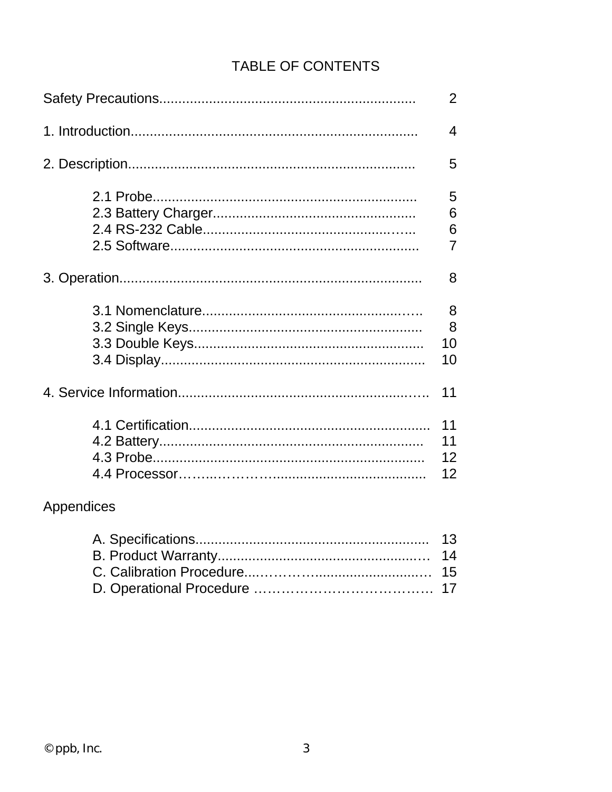# **TABLE OF CONTENTS**

|            | $\overline{2}$                |
|------------|-------------------------------|
|            | 4                             |
|            | 5                             |
|            | 5<br>6<br>6<br>$\overline{7}$ |
|            | 8                             |
|            | 8<br>8<br>10<br>10            |
|            | 11                            |
|            | 11<br>11<br>12<br>12          |
| Appendices |                               |
|            | 13<br>14                      |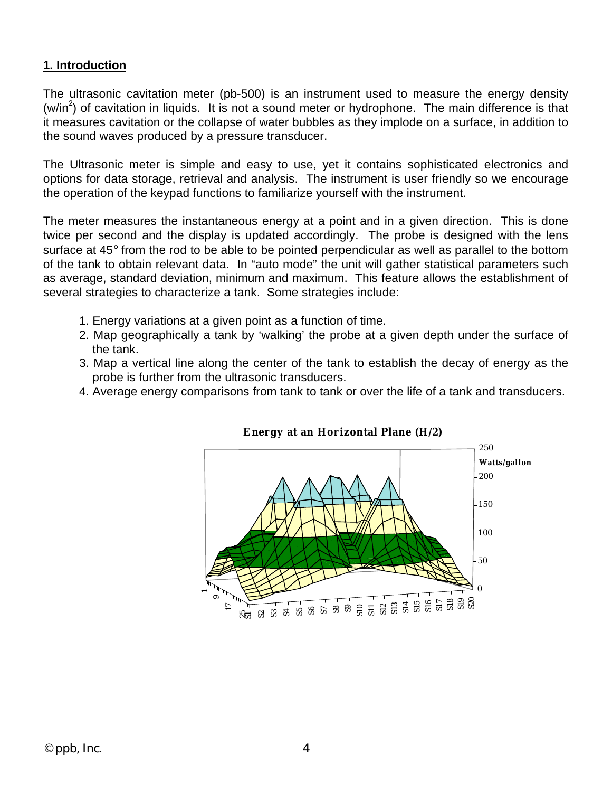#### **1. Introduction**

The ultrasonic cavitation meter (pb-500) is an instrument used to measure the energy density  $(w/in<sup>2</sup>)$  of cavitation in liquids. It is not a sound meter or hydrophone. The main difference is that it measures cavitation or the collapse of water bubbles as they implode on a surface, in addition to the sound waves produced by a pressure transducer.

The Ultrasonic meter is simple and easy to use, yet it contains sophisticated electronics and options for data storage, retrieval and analysis. The instrument is user friendly so we encourage the operation of the keypad functions to familiarize yourself with the instrument.

The meter measures the instantaneous energy at a point and in a given direction. This is done twice per second and the display is updated accordingly. The probe is designed with the lens surface at 45° from the rod to be able to be pointed perpendicular as well as parallel to the bottom of the tank to obtain relevant data. In "auto mode" the unit will gather statistical parameters such as average, standard deviation, minimum and maximum. This feature allows the establishment of several strategies to characterize a tank. Some strategies include:

- 1. Energy variations at a given point as a function of time.
- 2. Map geographically a tank by 'walking' the probe at a given depth under the surface of the tank.
- 3. Map a vertical line along the center of the tank to establish the decay of energy as the probe is further from the ultrasonic transducers.
- 4. Average energy comparisons from tank to tank or over the life of a tank and transducers.



#### **E ner gy at an Horizontal Plane (H/2)**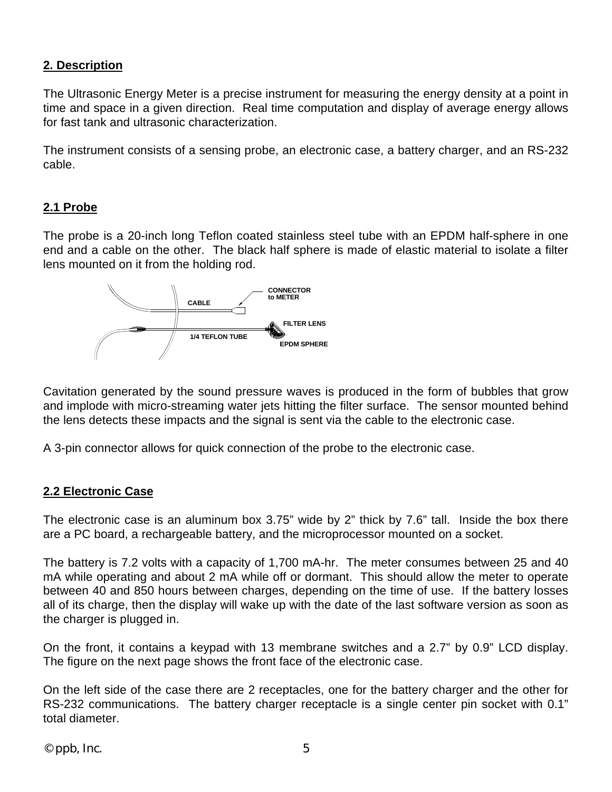### **2. Description**

The Ultrasonic Energy Meter is a precise instrument for measuring the energy density at a point in time and space in a given direction. Real time computation and display of average energy allows for fast tank and ultrasonic characterization.

The instrument consists of a sensing probe, an electronic case, a battery charger, and an RS-232 cable.

## **2.1 Probe**

The probe is a 20-inch long Teflon coated stainless steel tube with an EPDM half-sphere in one end and a cable on the other. The black half sphere is made of elastic material to isolate a filter lens mounted on it from the holding rod.



Cavitation generated by the sound pressure waves is produced in the form of bubbles that grow and implode with micro-streaming water jets hitting the filter surface. The sensor mounted behind the lens detects these impacts and the signal is sent via the cable to the electronic case.

A 3-pin connector allows for quick connection of the probe to the electronic case.

#### **2.2 Electronic Case**

The electronic case is an aluminum box 3.75" wide by 2" thick by 7.6" tall. Inside the box there are a PC board, a rechargeable battery, and the microprocessor mounted on a socket.

The battery is 7.2 volts with a capacity of 1,700 mA-hr. The meter consumes between 25 and 40 mA while operating and about 2 mA while off or dormant. This should allow the meter to operate between 40 and 850 hours between charges, depending on the time of use. If the battery losses all of its charge, then the display will wake up with the date of the last software version as soon as the charger is plugged in.

On the front, it contains a keypad with 13 membrane switches and a 2.7" by 0.9" LCD display. The figure on the next page shows the front face of the electronic case.

On the left side of the case there are 2 receptacles, one for the battery charger and the other for RS-232 communications. The battery charger receptacle is a single center pin socket with 0.1" total diameter.

 $©$  ppb, Inc.  $5$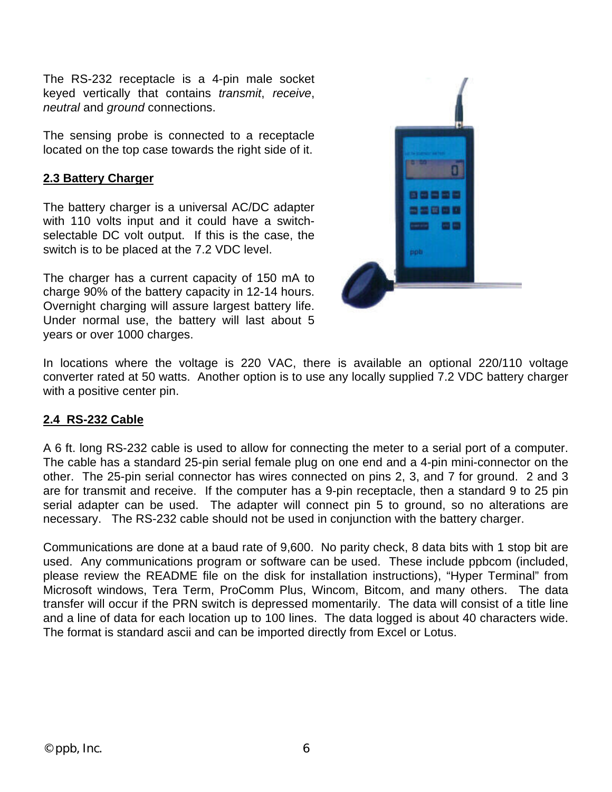The RS-232 receptacle is a 4-pin male socket keyed vertically that contains *transmit*, *receive*, *neutral* and *ground* connections.

The sensing probe is connected to a receptacle located on the top case towards the right side of it.

## **2.3 Battery Charger**

The battery charger is a universal AC/DC adapter with 110 volts input and it could have a switchselectable DC volt output. If this is the case, the switch is to be placed at the 7.2 VDC level.

The charger has a current capacity of 150 mA to charge 90% of the battery capacity in 12-14 hours. Overnight charging will assure largest battery life. Under normal use, the battery will last about 5 years or over 1000 charges.



In locations where the voltage is 220 VAC, there is available an optional 220/110 voltage converter rated at 50 watts. Another option is to use any locally supplied 7.2 VDC battery charger with a positive center pin.

# **2.4 RS-232 Cable**

A 6 ft. long RS-232 cable is used to allow for connecting the meter to a serial port of a computer. The cable has a standard 25-pin serial female plug on one end and a 4-pin mini-connector on the other. The 25-pin serial connector has wires connected on pins 2, 3, and 7 for ground. 2 and 3 are for transmit and receive. If the computer has a 9-pin receptacle, then a standard 9 to 25 pin serial adapter can be used. The adapter will connect pin 5 to ground, so no alterations are necessary. The RS-232 cable should not be used in conjunction with the battery charger.

Communications are done at a baud rate of 9,600. No parity check, 8 data bits with 1 stop bit are used. Any communications program or software can be used. These include ppbcom (included, please review the README file on the disk for installation instructions), "Hyper Terminal" from Microsoft windows, Tera Term, ProComm Plus, Wincom, Bitcom, and many others. The data transfer will occur if the PRN switch is depressed momentarily. The data will consist of a title line and a line of data for each location up to 100 lines. The data logged is about 40 characters wide. The format is standard ascii and can be imported directly from Excel or Lotus.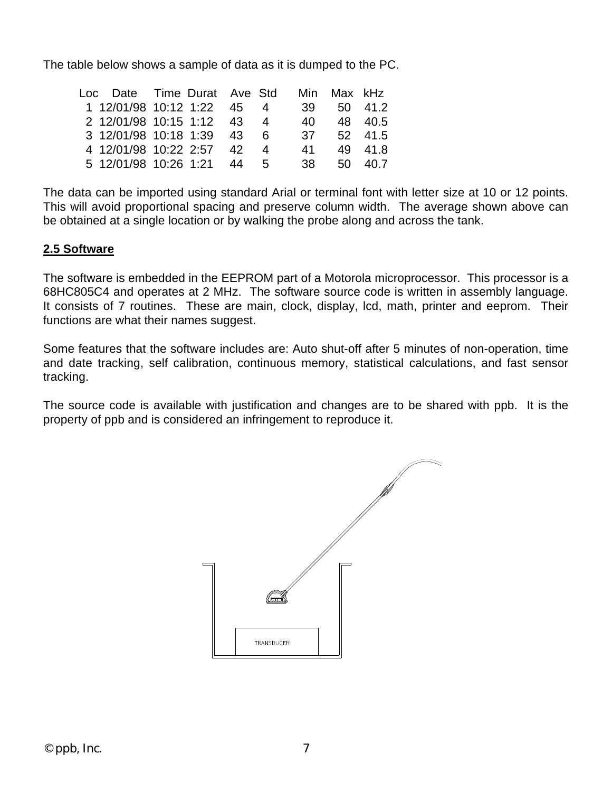The table below shows a sample of data as it is dumped to the PC.

|  |  | 41                                                                                                                                                 |                                                                                                            |
|--|--|----------------------------------------------------------------------------------------------------------------------------------------------------|------------------------------------------------------------------------------------------------------------|
|  |  |                                                                                                                                                    |                                                                                                            |
|  |  | 1 12/01/98 10:12 1:22 45 4<br>2 12/01/98 10:15 1:12 43 4<br>3 12/01/98 10:18 1:39 43 6<br>4 12/01/98 10:22 2:57 42 4<br>5 12/01/98 10:26 1:21 44 5 | Loc Date Time Durat Ave Std Min Max kHz<br>39 50 41.2<br>40 48 40.5<br>37 52 41.5<br>49 41.8<br>38 50 40.7 |

The data can be imported using standard Arial or terminal font with letter size at 10 or 12 points. This will avoid proportional spacing and preserve column width. The average shown above can be obtained at a single location or by walking the probe along and across the tank.

# **2.5 Software**

The software is embedded in the EEPROM part of a Motorola microprocessor. This processor is a 68HC805C4 and operates at 2 MHz. The software source code is written in assembly language. It consists of 7 routines. These are main, clock, display, lcd, math, printer and eeprom. Their functions are what their names suggest.

Some features that the software includes are: Auto shut-off after 5 minutes of non-operation, time and date tracking, self calibration, continuous memory, statistical calculations, and fast sensor tracking.

The source code is available with justification and changes are to be shared with ppb. It is the property of ppb and is considered an infringement to reproduce it.

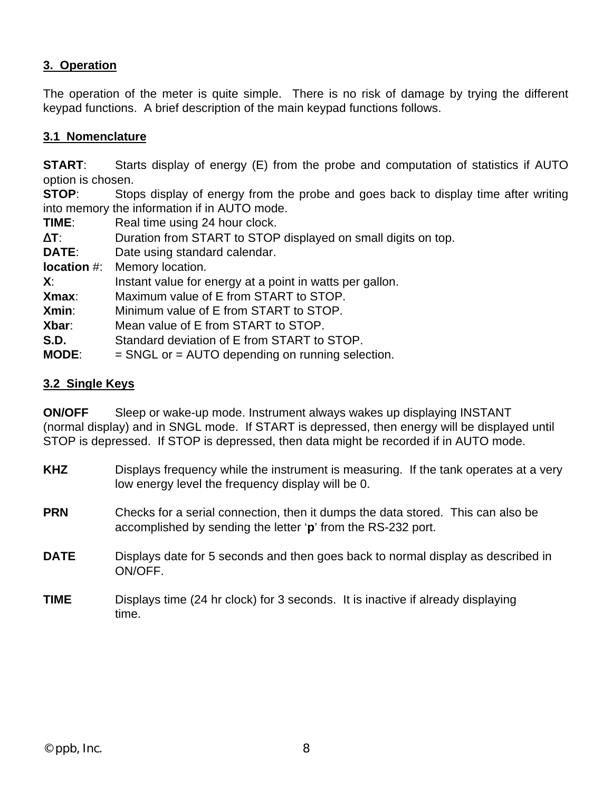## **3. Operation**

The operation of the meter is quite simple. There is no risk of damage by trying the different keypad functions. A brief description of the main keypad functions follows.

#### **3.1 Nomenclature**

**START:** Starts display of energy (E) from the probe and computation of statistics if AUTO option is chosen.

**STOP:** Stops display of energy from the probe and goes back to display time after writing into memory the information if in AUTO mode.

**TIME:** Real time using 24 hour clock.

- Δ**T**: Duration from START to STOP displayed on small digits on top.
- **DATE:** Date using standard calendar.

**location** #: Memory location.

**X**: Instant value for energy at a point in watts per gallon.

**Xmax**: Maximum value of E from START to STOP.

**Xmin:** Minimum value of E from START to STOP.

**Xbar**: Mean value of E from START to STOP.

- **S.D.** Standard deviation of E from START to STOP.
- **MODE**: = SNGL or = AUTO depending on running selection.

#### **3.2 Single Keys**

**ON/OFF** Sleep or wake-up mode. Instrument always wakes up displaying INSTANT (normal display) and in SNGL mode. If START is depressed, then energy will be displayed until STOP is depressed. If STOP is depressed, then data might be recorded if in AUTO mode.

| <b>KHZ</b> | Displays frequency while the instrument is measuring. If the tank operates at a very<br>low energy level the frequency display will be 0.       |
|------------|-------------------------------------------------------------------------------------------------------------------------------------------------|
| <b>PRN</b> | Checks for a serial connection, then it dumps the data stored. This can also be<br>accomplished by sending the letter 'p' from the RS-232 port. |
|            |                                                                                                                                                 |

- **DATE** Displays date for 5 seconds and then goes back to normal display as described in ON/OFF.
- **TIME** Displays time (24 hr clock) for 3 seconds. It is inactive if already displaying time.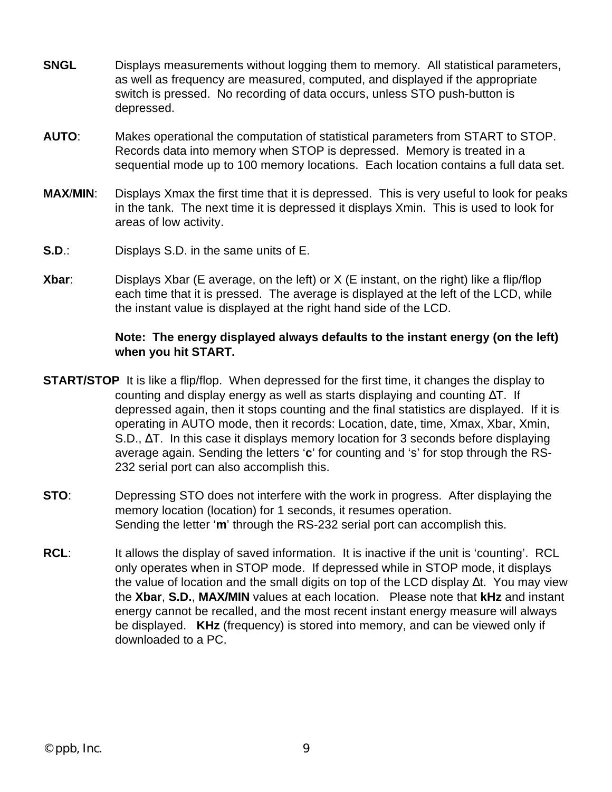- **SNGL** Displays measurements without logging them to memory. All statistical parameters, as well as frequency are measured, computed, and displayed if the appropriate switch is pressed. No recording of data occurs, unless STO push-button is depressed.
- **AUTO**: Makes operational the computation of statistical parameters from START to STOP. Records data into memory when STOP is depressed. Memory is treated in a sequential mode up to 100 memory locations. Each location contains a full data set.
- **MAX**/**MIN**: Displays Xmax the first time that it is depressed. This is very useful to look for peaks in the tank. The next time it is depressed it displays Xmin. This is used to look for areas of low activity.
- **S.D**.: Displays S.D. in the same units of E.
- **Xbar:** Displays Xbar (E average, on the left) or X (E instant, on the right) like a flip/flop each time that it is pressed. The average is displayed at the left of the LCD, while the instant value is displayed at the right hand side of the LCD.

#### **Note: The energy displayed always defaults to the instant energy (on the left) when you hit START.**

- **START/STOP** It is like a flip/flop. When depressed for the first time, it changes the display to counting and display energy as well as starts displaying and counting  $\Delta T$ . If depressed again, then it stops counting and the final statistics are displayed. If it is operating in AUTO mode, then it records: Location, date, time, Xmax, Xbar, Xmin, S.D., ΔT. In this case it displays memory location for 3 seconds before displaying average again. Sending the letters '**c**' for counting and 's' for stop through the RS-232 serial port can also accomplish this.
- **STO:** Depressing STO does not interfere with the work in progress. After displaying the memory location (location) for 1 seconds, it resumes operation. Sending the letter '**m**' through the RS-232 serial port can accomplish this.
- **RCL:** It allows the display of saved information. It is inactive if the unit is 'counting'. RCL only operates when in STOP mode. If depressed while in STOP mode, it displays the value of location and the small digits on top of the LCD display Δt. You may view the **Xbar**, **S.D.**, **MAX/MIN** values at each location. Please note that **kHz** and instant energy cannot be recalled, and the most recent instant energy measure will always be displayed. **KHz** (frequency) is stored into memory, and can be viewed only if downloaded to a PC.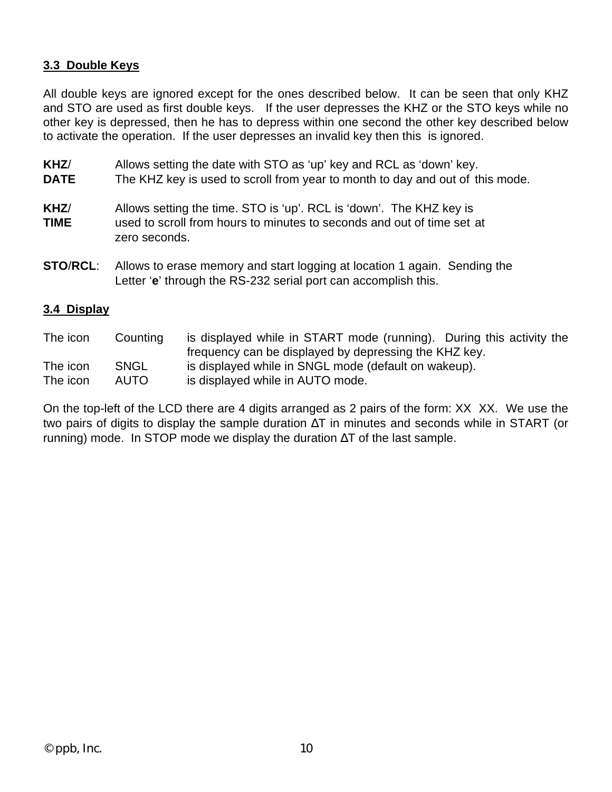#### **3.3 Double Keys**

All double keys are ignored except for the ones described below. It can be seen that only KHZ and STO are used as first double keys. If the user depresses the KHZ or the STO keys while no other key is depressed, then he has to depress within one second the other key described below to activate the operation. If the user depresses an invalid key then this is ignored.

- **KHZ**/ Allows setting the date with STO as 'up' key and RCL as 'down' key. **DATE** The KHZ key is used to scroll from year to month to day and out of this mode. **KHZ**/ Allows setting the time. STO is 'up'. RCL is 'down'. The KHZ key is **TIME** used to scroll from hours to minutes to seconds and out of time set at zero seconds.
- **STO**/**RCL**: Allows to erase memory and start logging at location 1 again. Sending the Letter '**e**' through the RS-232 serial port can accomplish this.

#### **3.4 Display**

| The icon | Counting    | is displayed while in START mode (running). During this activity the |
|----------|-------------|----------------------------------------------------------------------|
|          |             | frequency can be displayed by depressing the KHZ key.                |
| The icon | <b>SNGL</b> | is displayed while in SNGL mode (default on wakeup).                 |
| The icon | AUTO.       | is displayed while in AUTO mode.                                     |

On the top-left of the LCD there are 4 digits arranged as 2 pairs of the form: XX XX. We use the two pairs of digits to display the sample duration ΔT in minutes and seconds while in START (or running) mode. In STOP mode we display the duration  $\Delta T$  of the last sample.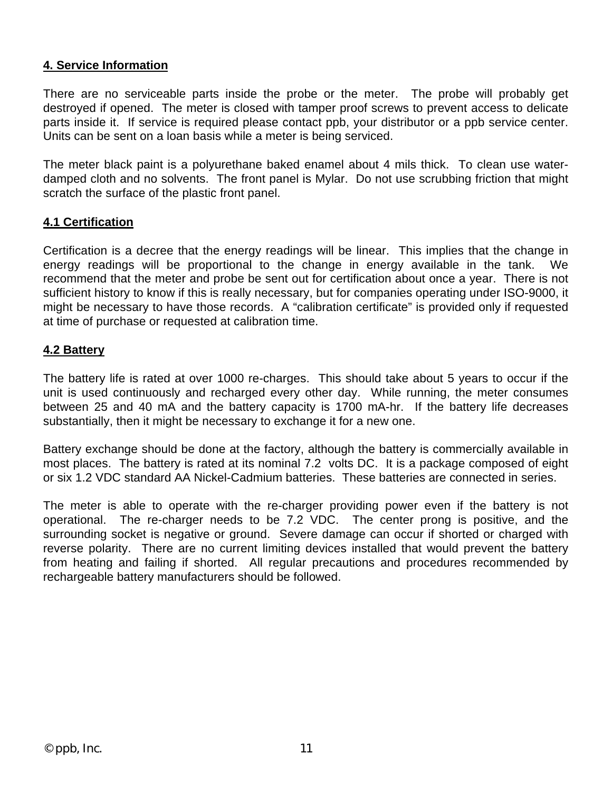#### **4. Service Information**

There are no serviceable parts inside the probe or the meter. The probe will probably get destroyed if opened. The meter is closed with tamper proof screws to prevent access to delicate parts inside it. If service is required please contact ppb, your distributor or a ppb service center. Units can be sent on a loan basis while a meter is being serviced.

The meter black paint is a polyurethane baked enamel about 4 mils thick. To clean use waterdamped cloth and no solvents. The front panel is Mylar. Do not use scrubbing friction that might scratch the surface of the plastic front panel.

#### **4.1 Certification**

Certification is a decree that the energy readings will be linear. This implies that the change in energy readings will be proportional to the change in energy available in the tank. We recommend that the meter and probe be sent out for certification about once a year. There is not sufficient history to know if this is really necessary, but for companies operating under ISO-9000, it might be necessary to have those records. A "calibration certificate" is provided only if requested at time of purchase or requested at calibration time.

#### **4.2 Battery**

The battery life is rated at over 1000 re-charges. This should take about 5 years to occur if the unit is used continuously and recharged every other day. While running, the meter consumes between 25 and 40 mA and the battery capacity is 1700 mA-hr. If the battery life decreases substantially, then it might be necessary to exchange it for a new one.

Battery exchange should be done at the factory, although the battery is commercially available in most places. The battery is rated at its nominal 7.2 volts DC. It is a package composed of eight or six 1.2 VDC standard AA Nickel-Cadmium batteries. These batteries are connected in series.

The meter is able to operate with the re-charger providing power even if the battery is not operational. The re-charger needs to be 7.2 VDC. The center prong is positive, and the surrounding socket is negative or ground. Severe damage can occur if shorted or charged with reverse polarity. There are no current limiting devices installed that would prevent the battery from heating and failing if shorted. All regular precautions and procedures recommended by rechargeable battery manufacturers should be followed.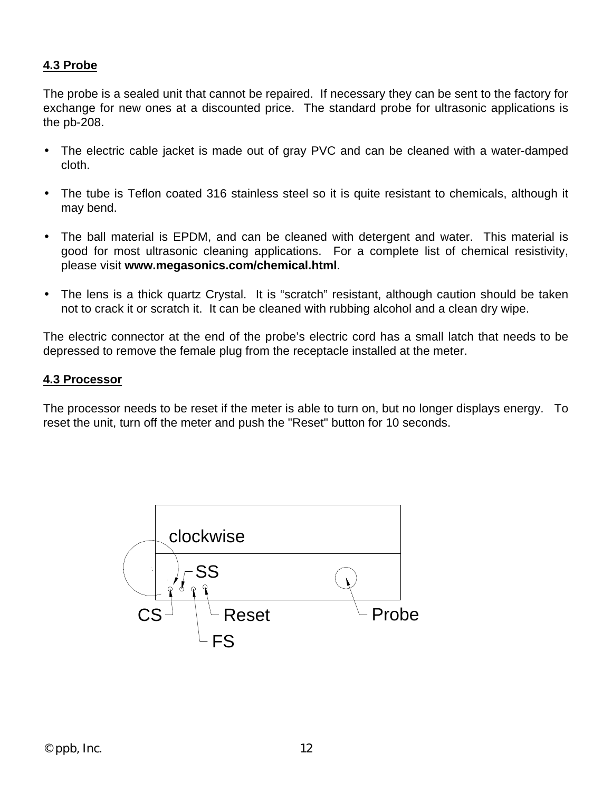#### **4.3 Probe**

The probe is a sealed unit that cannot be repaired. If necessary they can be sent to the factory for exchange for new ones at a discounted price. The standard probe for ultrasonic applications is the pb-208.

- The electric cable jacket is made out of gray PVC and can be cleaned with a water-damped cloth.
- The tube is Teflon coated 316 stainless steel so it is quite resistant to chemicals, although it may bend.
- The ball material is EPDM, and can be cleaned with detergent and water. This material is good for most ultrasonic cleaning applications. For a complete list of chemical resistivity, please visit **www.megasonics.com/chemical.html**.
- The lens is a thick quartz Crystal. It is "scratch" resistant, although caution should be taken not to crack it or scratch it. It can be cleaned with rubbing alcohol and a clean dry wipe.

The electric connector at the end of the probe's electric cord has a small latch that needs to be depressed to remove the female plug from the receptacle installed at the meter.

#### **4.3 Processor**

The processor needs to be reset if the meter is able to turn on, but no longer displays energy. To reset the unit, turn off the meter and push the "Reset" button for 10 seconds.

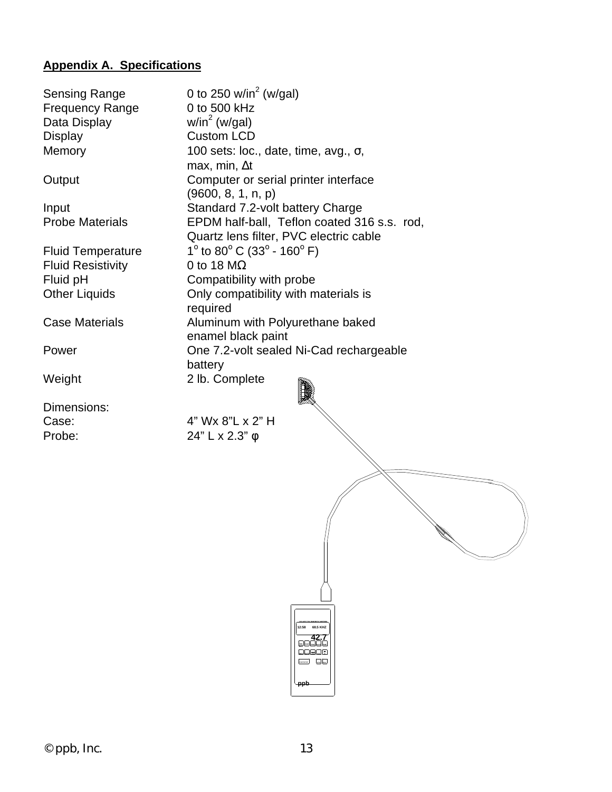# **Appendix A. Specifications**

| <b>Sensing Range</b><br><b>Frequency Range</b><br>Data Display   | 0 to 250 w/in <sup>2</sup> (w/gal)<br>0 to 500 kHz<br>$w/in^2$ (w/gal)                                                                                                                                                                                                                                                                                                                                                                                                                                                                                                         |
|------------------------------------------------------------------|--------------------------------------------------------------------------------------------------------------------------------------------------------------------------------------------------------------------------------------------------------------------------------------------------------------------------------------------------------------------------------------------------------------------------------------------------------------------------------------------------------------------------------------------------------------------------------|
| <b>Display</b><br>Memory                                         | <b>Custom LCD</b><br>100 sets: loc., date, time, avg., $\sigma$ ,<br>max, min, $\Delta t$                                                                                                                                                                                                                                                                                                                                                                                                                                                                                      |
| Output                                                           | Computer or serial printer interface<br>(9600, 8, 1, n, p)                                                                                                                                                                                                                                                                                                                                                                                                                                                                                                                     |
| Input<br><b>Probe Materials</b>                                  | Standard 7.2-volt battery Charge<br>EPDM half-ball, Teflon coated 316 s.s. rod,<br>Quartz lens filter, PVC electric cable                                                                                                                                                                                                                                                                                                                                                                                                                                                      |
| <b>Fluid Temperature</b><br><b>Fluid Resistivity</b><br>Fluid pH | 1 $\degree$ to 80 $\degree$ C (33 $\degree$ - 160 $\degree$ F)<br>0 to 18 $M\Omega$<br>Compatibility with probe                                                                                                                                                                                                                                                                                                                                                                                                                                                                |
| <b>Other Liquids</b>                                             | Only compatibility with materials is<br>required                                                                                                                                                                                                                                                                                                                                                                                                                                                                                                                               |
| <b>Case Materials</b>                                            | Aluminum with Polyurethane baked<br>enamel black paint                                                                                                                                                                                                                                                                                                                                                                                                                                                                                                                         |
| Power                                                            | One 7.2-volt sealed Ni-Cad rechargeable                                                                                                                                                                                                                                                                                                                                                                                                                                                                                                                                        |
| Weight                                                           | battery<br>2 lb. Complete                                                                                                                                                                                                                                                                                                                                                                                                                                                                                                                                                      |
| Dimensions:                                                      |                                                                                                                                                                                                                                                                                                                                                                                                                                                                                                                                                                                |
| Case:<br>Probe:                                                  | 4" Wx 8"L x 2" H<br>24" L x 2.3" ¢                                                                                                                                                                                                                                                                                                                                                                                                                                                                                                                                             |
|                                                                  |                                                                                                                                                                                                                                                                                                                                                                                                                                                                                                                                                                                |
|                                                                  |                                                                                                                                                                                                                                                                                                                                                                                                                                                                                                                                                                                |
|                                                                  |                                                                                                                                                                                                                                                                                                                                                                                                                                                                                                                                                                                |
|                                                                  | 12:58 68.5 KHZ<br>$\begin{array}{ c } \hline \quad \quad \quad \text{42.7} \\\hline \text{g} \text{u} \text{u} \text{u} \text{u} \end{array}$<br>2009ء<br>$\frac{1}{\sqrt{1-\frac{1}{2}}\sqrt{1-\frac{1}{2}}\sqrt{1-\frac{1}{2}}\sqrt{1-\frac{1}{2}}\sqrt{1-\frac{1}{2}}\sqrt{1-\frac{1}{2}}\sqrt{1-\frac{1}{2}}\sqrt{1-\frac{1}{2}}\sqrt{1-\frac{1}{2}}\sqrt{1-\frac{1}{2}}\sqrt{1-\frac{1}{2}}\sqrt{1-\frac{1}{2}}\sqrt{1-\frac{1}{2}}\sqrt{1-\frac{1}{2}}\sqrt{1-\frac{1}{2}}\sqrt{1-\frac{1}{2}}\sqrt{1-\frac{1}{2}}\sqrt{1-\frac{1}{2}}\sqrt{1-\frac{1}{2}}\sqrt{1-\frac$ |
|                                                                  | -ppb                                                                                                                                                                                                                                                                                                                                                                                                                                                                                                                                                                           |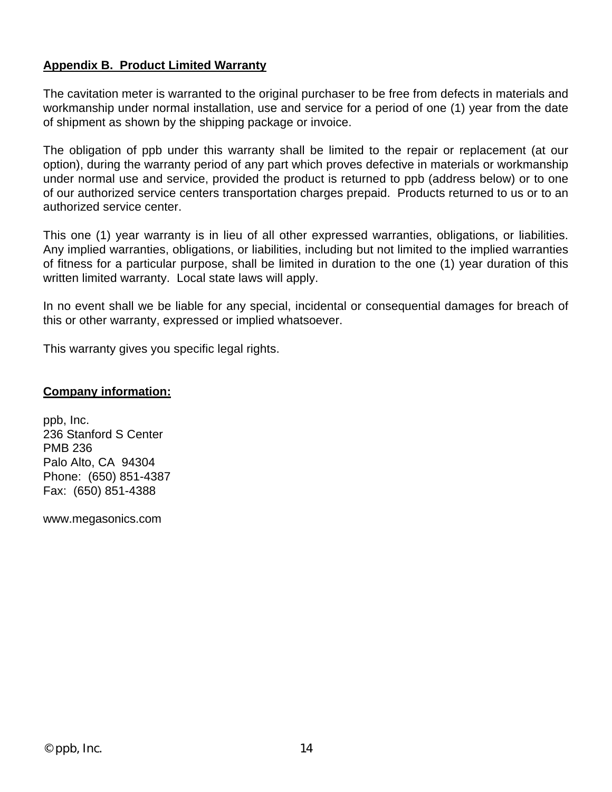#### **Appendix B. Product Limited Warranty**

The cavitation meter is warranted to the original purchaser to be free from defects in materials and workmanship under normal installation, use and service for a period of one (1) year from the date of shipment as shown by the shipping package or invoice.

The obligation of ppb under this warranty shall be limited to the repair or replacement (at our option), during the warranty period of any part which proves defective in materials or workmanship under normal use and service, provided the product is returned to ppb (address below) or to one of our authorized service centers transportation charges prepaid. Products returned to us or to an authorized service center.

This one (1) year warranty is in lieu of all other expressed warranties, obligations, or liabilities. Any implied warranties, obligations, or liabilities, including but not limited to the implied warranties of fitness for a particular purpose, shall be limited in duration to the one (1) year duration of this written limited warranty. Local state laws will apply.

In no event shall we be liable for any special, incidental or consequential damages for breach of this or other warranty, expressed or implied whatsoever.

This warranty gives you specific legal rights.

#### **Company information:**

ppb, Inc. 236 Stanford S Center PMB 236 Palo Alto, CA 94304 Phone: (650) 851-4387 Fax: (650) 851-4388

www.megasonics.com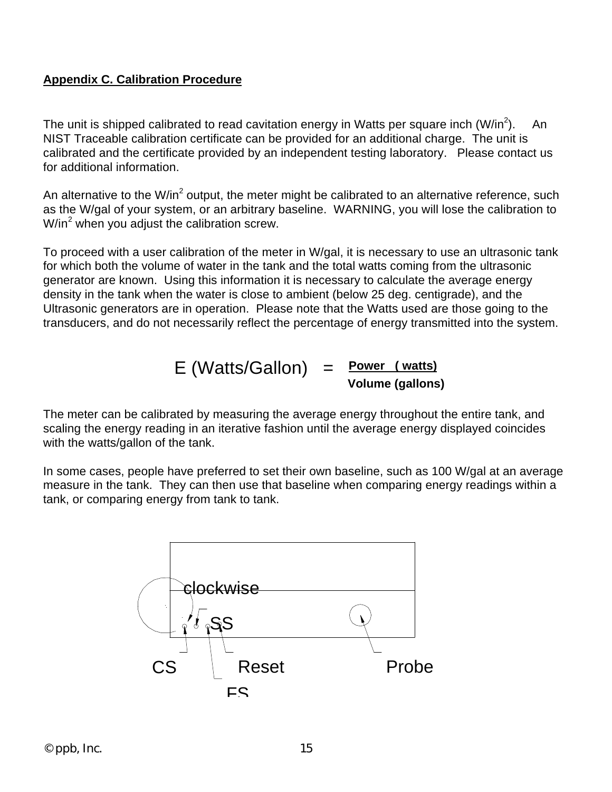#### **Appendix C. Calibration Procedure**

The unit is shipped calibrated to read cavitation energy in Watts per square inch (W/in<sup>2</sup>). An NIST Traceable calibration certificate can be provided for an additional charge. The unit is calibrated and the certificate provided by an independent testing laboratory. Please contact us for additional information.

An alternative to the W/in<sup>2</sup> output, the meter might be calibrated to an alternative reference, such as the W/gal of your system, or an arbitrary baseline. WARNING, you will lose the calibration to W/in<sup>2</sup> when you adjust the calibration screw.

To proceed with a user calibration of the meter in W/gal, it is necessary to use an ultrasonic tank for which both the volume of water in the tank and the total watts coming from the ultrasonic generator are known. Using this information it is necessary to calculate the average energy density in the tank when the water is close to ambient (below 25 deg. centigrade), and the Ultrasonic generators are in operation. Please note that the Watts used are those going to the transducers, and do not necessarily reflect the percentage of energy transmitted into the system.

$$
E (Watts/Gallon) = \frac{Power (watts)}{Volume (gallons)}
$$

The meter can be calibrated by measuring the average energy throughout the entire tank, and scaling the energy reading in an iterative fashion until the average energy displayed coincides with the watts/gallon of the tank.

In some cases, people have preferred to set their own baseline, such as 100 W/gal at an average measure in the tank. They can then use that baseline when comparing energy readings within a tank, or comparing energy from tank to tank.

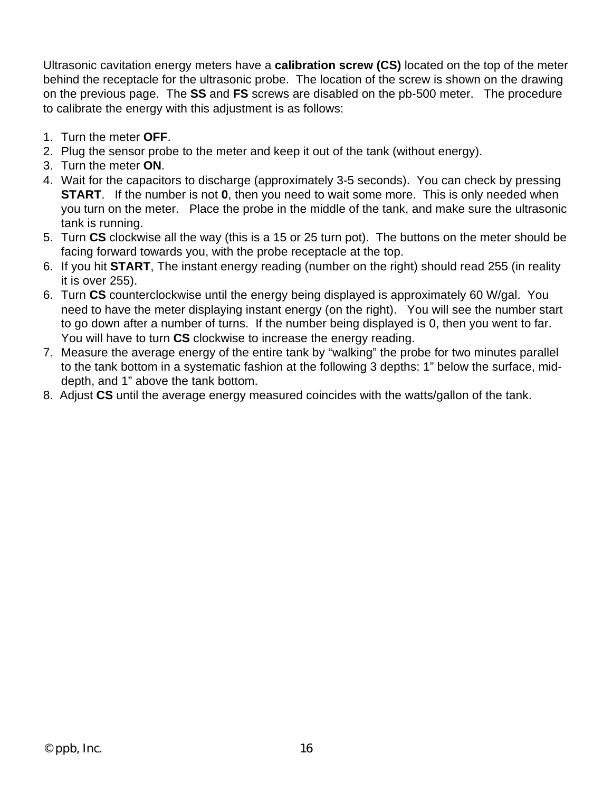Ultrasonic cavitation energy meters have a **calibration screw (CS)** located on the top of the meter behind the receptacle for the ultrasonic probe. The location of the screw is shown on the drawing on the previous page. The **SS** and **FS** screws are disabled on the pb-500 meter. The procedure to calibrate the energy with this adjustment is as follows:

- 1. Turn the meter **OFF**.
- 2. Plug the sensor probe to the meter and keep it out of the tank (without energy).
- 3. Turn the meter **ON**.
- 4. Wait for the capacitors to discharge (approximately 3-5 seconds). You can check by pressing **START.** If the number is not **0**, then you need to wait some more. This is only needed when you turn on the meter. Place the probe in the middle of the tank, and make sure the ultrasonic tank is running.
- 5. Turn **CS** clockwise all the way (this is a 15 or 25 turn pot). The buttons on the meter should be facing forward towards you, with the probe receptacle at the top.
- 6. If you hit **START**, The instant energy reading (number on the right) should read 255 (in reality it is over 255).
- 6. Turn **CS** counterclockwise until the energy being displayed is approximately 60 W/gal. You need to have the meter displaying instant energy (on the right). You will see the number start to go down after a number of turns. If the number being displayed is 0, then you went to far. You will have to turn **CS** clockwise to increase the energy reading.
- 7. Measure the average energy of the entire tank by "walking" the probe for two minutes parallel to the tank bottom in a systematic fashion at the following 3 depths: 1" below the surface, middepth, and 1" above the tank bottom.
- 8. Adjust **CS** until the average energy measured coincides with the watts/gallon of the tank.